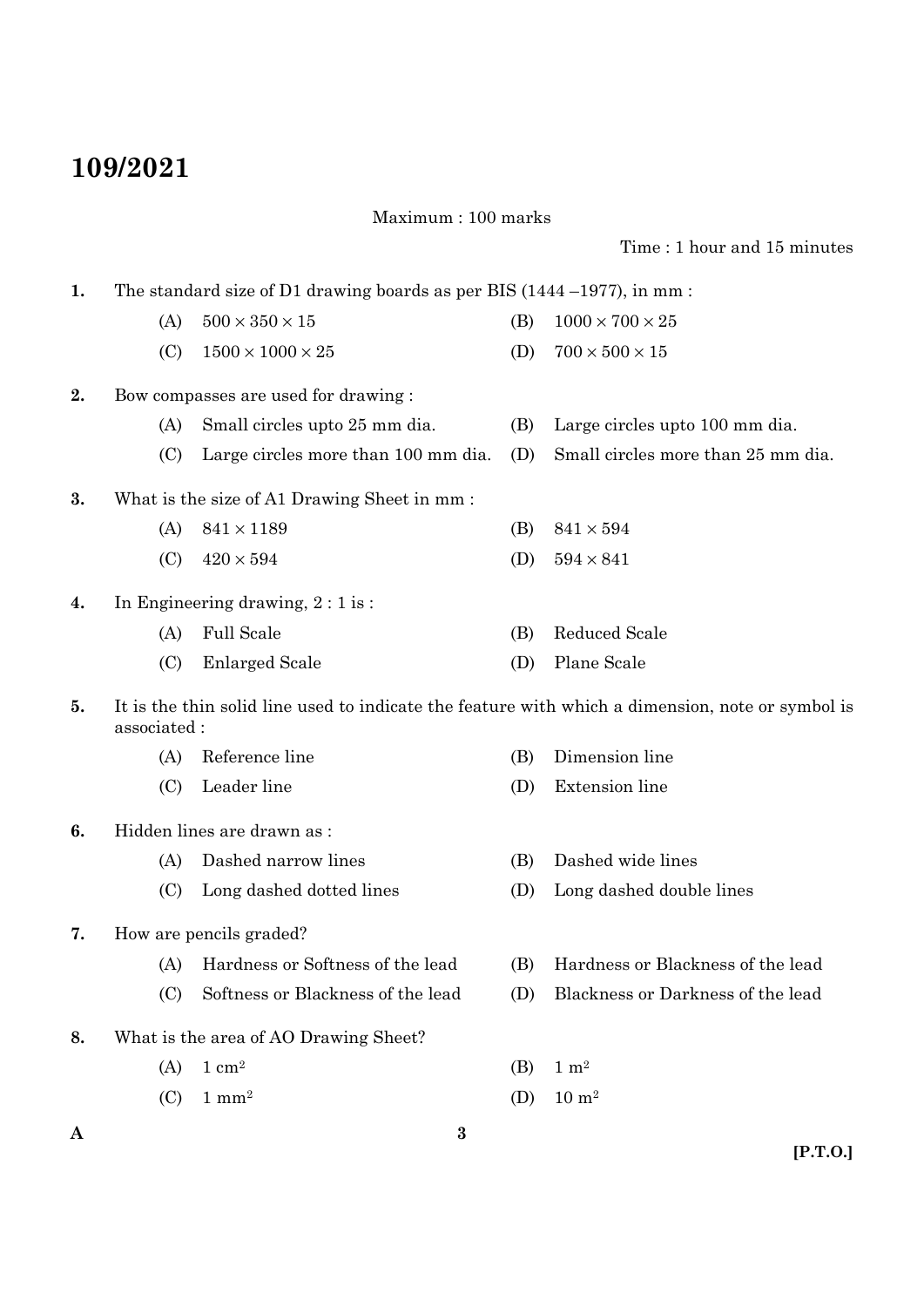## **109/2021**

Maximum : 100 marks

Time : 1 hour and 15 minutes

**A [P.T.O.] 3 1.** The standard size of D1 drawing boards as per BIS (1444 –1977), in mm : (A)  $500 \times 350 \times 15$  (B)  $1000 \times 700 \times 25$ (C)  $1500 \times 1000 \times 25$  (D)  $700 \times 500 \times 15$ **2.** Bow compasses are used for drawing : (A) Small circles upto 25 mm dia. (B) Large circles upto 100 mm dia. (C) Large circles more than 100 mm dia. (D) Small circles more than 25 mm dia. **3.** What is the size of A1 Drawing Sheet in mm : (A)  $841 \times 1189$  (B)  $841 \times 594$ (C)  $420 \times 594$  (D)  $594 \times 841$ **4.** In Engineering drawing, 2 : 1 is : (A) Full Scale (B) Reduced Scale (C) Enlarged Scale (D) Plane Scale **5.** It is the thin solid line used to indicate the feature with which a dimension, note or symbol is associated : (A) Reference line (B) Dimension line (C) Leader line (D) Extension line **6.** Hidden lines are drawn as : (A) Dashed narrow lines (B) Dashed wide lines (C) Long dashed dotted lines (D) Long dashed double lines **7.** How are pencils graded? (A) Hardness or Softness of the lead (B) Hardness or Blackness of the lead (C) Softness or Blackness of the lead (D) Blackness or Darkness of the lead **8.** What is the area of AO Drawing Sheet? (A)  $1 \text{ cm}^2$  (B)  $1 \text{ m}^2$ (C)  $1 \text{ mm}^2$  (D)  $10 \text{ m}^2$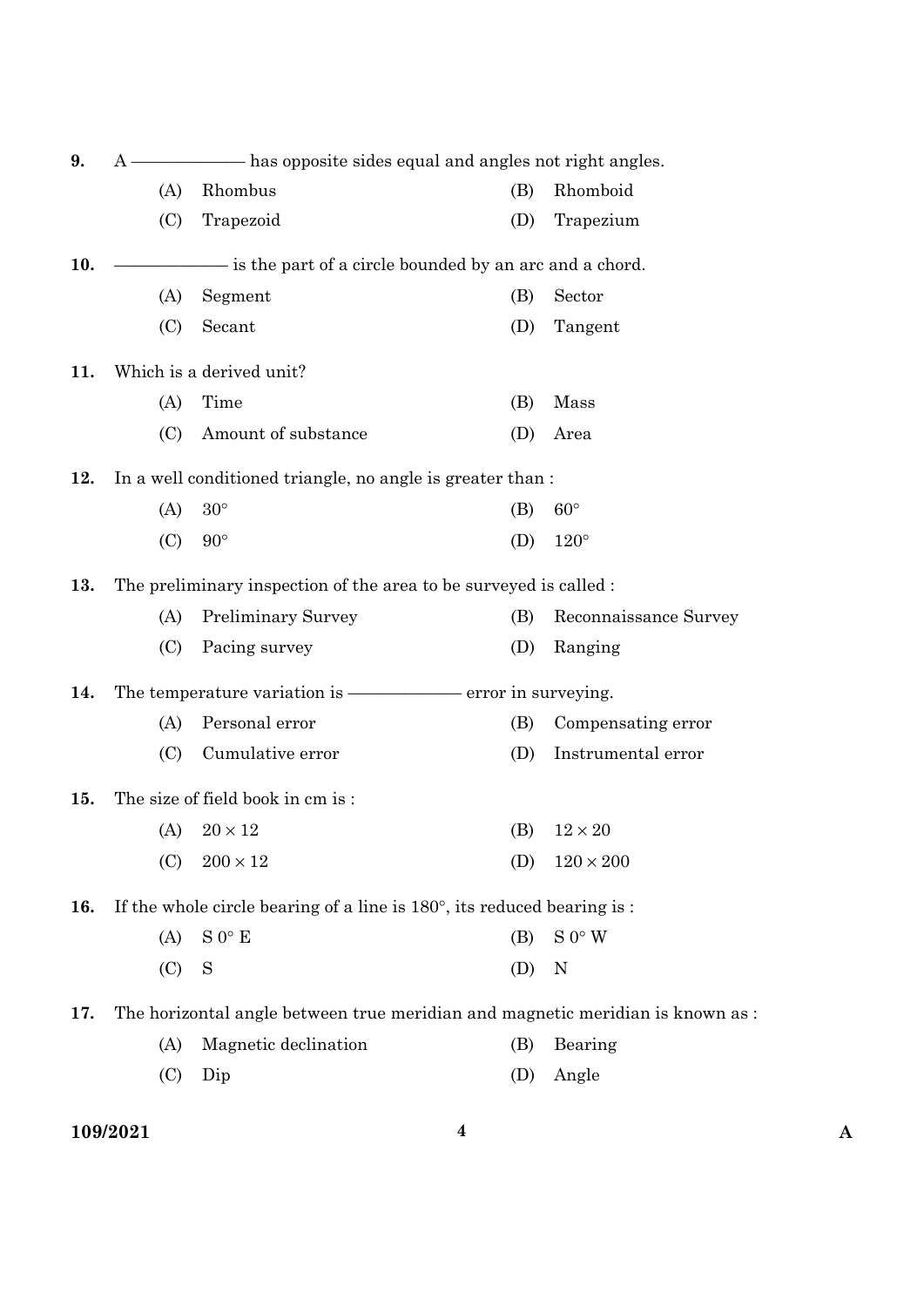| has opposite sides equal and angles not right angles. |                           |                                                              |                                                                                                                                                                                                                                                                                                                                                               |
|-------------------------------------------------------|---------------------------|--------------------------------------------------------------|---------------------------------------------------------------------------------------------------------------------------------------------------------------------------------------------------------------------------------------------------------------------------------------------------------------------------------------------------------------|
| (A)                                                   | Rhombus                   | (B)                                                          | Rhomboid                                                                                                                                                                                                                                                                                                                                                      |
| (C)                                                   | Trapezoid                 | (D)                                                          | Trapezium                                                                                                                                                                                                                                                                                                                                                     |
|                                                       |                           |                                                              |                                                                                                                                                                                                                                                                                                                                                               |
| (A)                                                   | Segment                   | (B)                                                          | Sector                                                                                                                                                                                                                                                                                                                                                        |
| (C)                                                   | Secant                    | (D)                                                          | Tangent                                                                                                                                                                                                                                                                                                                                                       |
|                                                       |                           |                                                              |                                                                                                                                                                                                                                                                                                                                                               |
| (A)                                                   | Time                      | (B)                                                          | Mass                                                                                                                                                                                                                                                                                                                                                          |
| (C)                                                   | Amount of substance       | (D)                                                          | Area                                                                                                                                                                                                                                                                                                                                                          |
|                                                       |                           |                                                              |                                                                                                                                                                                                                                                                                                                                                               |
| (A)                                                   | $30^{\circ}$              | (B)                                                          | $60^{\circ}$                                                                                                                                                                                                                                                                                                                                                  |
| (C)                                                   | $90^{\circ}$              | (D)                                                          | $120^\circ$                                                                                                                                                                                                                                                                                                                                                   |
|                                                       |                           |                                                              |                                                                                                                                                                                                                                                                                                                                                               |
| (A)                                                   | <b>Preliminary Survey</b> | (B)                                                          | Reconnaissance Survey                                                                                                                                                                                                                                                                                                                                         |
| (C)                                                   | Pacing survey             | (D)                                                          | Ranging                                                                                                                                                                                                                                                                                                                                                       |
|                                                       |                           |                                                              |                                                                                                                                                                                                                                                                                                                                                               |
| (A)                                                   | Personal error            | (B)                                                          | Compensating error                                                                                                                                                                                                                                                                                                                                            |
| (C)                                                   | Cumulative error          | (D)                                                          | Instrumental error                                                                                                                                                                                                                                                                                                                                            |
|                                                       |                           |                                                              |                                                                                                                                                                                                                                                                                                                                                               |
| (A)                                                   | $20 \times 12$            | (B)                                                          | $12 \times 20$                                                                                                                                                                                                                                                                                                                                                |
| (C)                                                   | $200\times12$             | (D)                                                          | $120 \times 200$                                                                                                                                                                                                                                                                                                                                              |
|                                                       |                           |                                                              |                                                                                                                                                                                                                                                                                                                                                               |
| (A)                                                   | $S 0^\circ E$             | (B)                                                          | S 0° W                                                                                                                                                                                                                                                                                                                                                        |
| (C)                                                   | S                         | (D)                                                          | N                                                                                                                                                                                                                                                                                                                                                             |
|                                                       |                           |                                                              |                                                                                                                                                                                                                                                                                                                                                               |
| (A)                                                   | Magnetic declination      | (B)                                                          | Bearing                                                                                                                                                                                                                                                                                                                                                       |
| (C)                                                   | Dip                       | (D)                                                          | Angle                                                                                                                                                                                                                                                                                                                                                         |
|                                                       |                           | Which is a derived unit?<br>The size of field book in cm is: | is the part of a circle bounded by an arc and a chord.<br>In a well conditioned triangle, no angle is greater than:<br>The preliminary inspection of the area to be surveyed is called :<br>If the whole circle bearing of a line is $180^\circ$ , its reduced bearing is :<br>The horizontal angle between true meridian and magnetic meridian is known as : |

## **109/2021 4 A**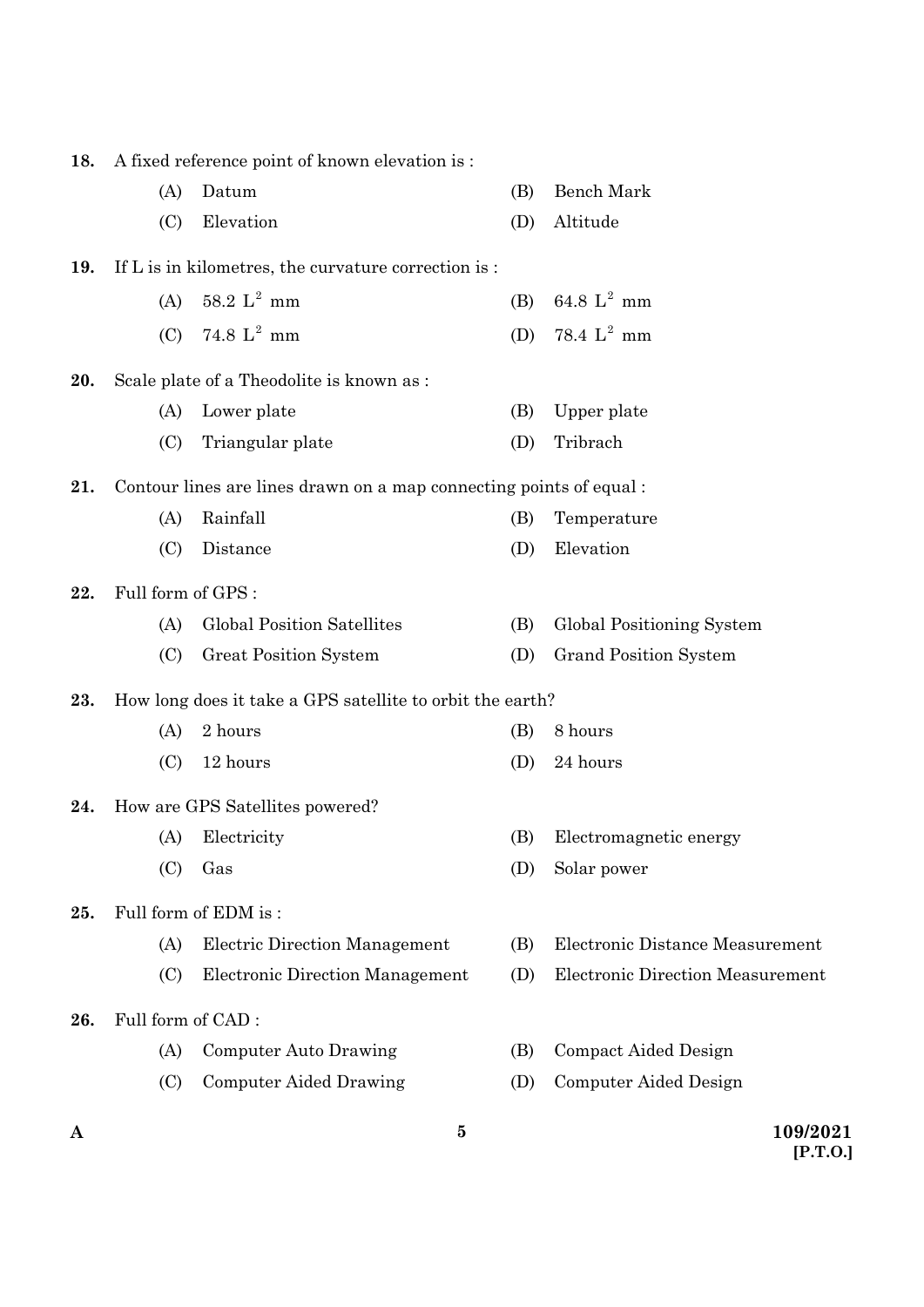| A   |                    | 5                                                                  |            | 109/2021                                           |
|-----|--------------------|--------------------------------------------------------------------|------------|----------------------------------------------------|
|     | (C)                | Computer Aided Drawing                                             | (D)        | Computer Aided Design                              |
|     | (A)                | Computer Auto Drawing                                              | (B)        | Compact Aided Design                               |
| 26. | Full form of CAD:  |                                                                    |            |                                                    |
|     | (C)                | <b>Electronic Direction Management</b>                             | (D)        | Electronic Direction Measurement                   |
|     | (A)                | <b>Electric Direction Management</b>                               | (B)        | Electronic Distance Measurement                    |
| 25. |                    | Full form of EDM is:                                               |            |                                                    |
|     | (C)                | Gas                                                                | (D)        | Solar power                                        |
|     | (A)                | Electricity                                                        | (B)        | Electromagnetic energy                             |
| 24. |                    | How are GPS Satellites powered?                                    |            |                                                    |
|     | (C)                | 12 hours                                                           | (D)        | 24 hours                                           |
|     | (A)                | 2 hours                                                            | (B)        | 8 hours                                            |
| 23. |                    | How long does it take a GPS satellite to orbit the earth?          |            |                                                    |
|     |                    | Great Position System                                              |            |                                                    |
|     | (A)<br>(C)         | <b>Global Position Satellites</b>                                  | (B)<br>(D) | Global Positioning System<br>Grand Position System |
| 22. | Full form of GPS : |                                                                    |            |                                                    |
|     |                    |                                                                    |            |                                                    |
|     | (C)                | Distance                                                           | (D)        | Elevation                                          |
|     | (A)                | Rainfall                                                           | (B)        | Temperature                                        |
| 21. |                    | Contour lines are lines drawn on a map connecting points of equal: |            |                                                    |
|     | (C)                | Triangular plate                                                   | (D)        | Tribrach                                           |
|     | (A)                | Lower plate                                                        | (B)        | Upper plate                                        |
| 20. |                    | Scale plate of a Theodolite is known as :                          |            |                                                    |
|     | (C)                | 74.8 $L^2$ mm                                                      | (D)        | 78.4 $L^2$ mm                                      |
|     | (A)                | 58.2 $L^2$ mm                                                      | (B)        | 64.8 $L^2$ mm                                      |
| 19. |                    | If L is in kilometres, the curvature correction is :               |            |                                                    |
|     | (C)                | Elevation                                                          | (D)        | Altitude                                           |
|     | (A)                | Datum                                                              | (B)        | Bench Mark                                         |
| 18. |                    | A fixed reference point of known elevation is :                    |            |                                                    |

**[P.T.O.]**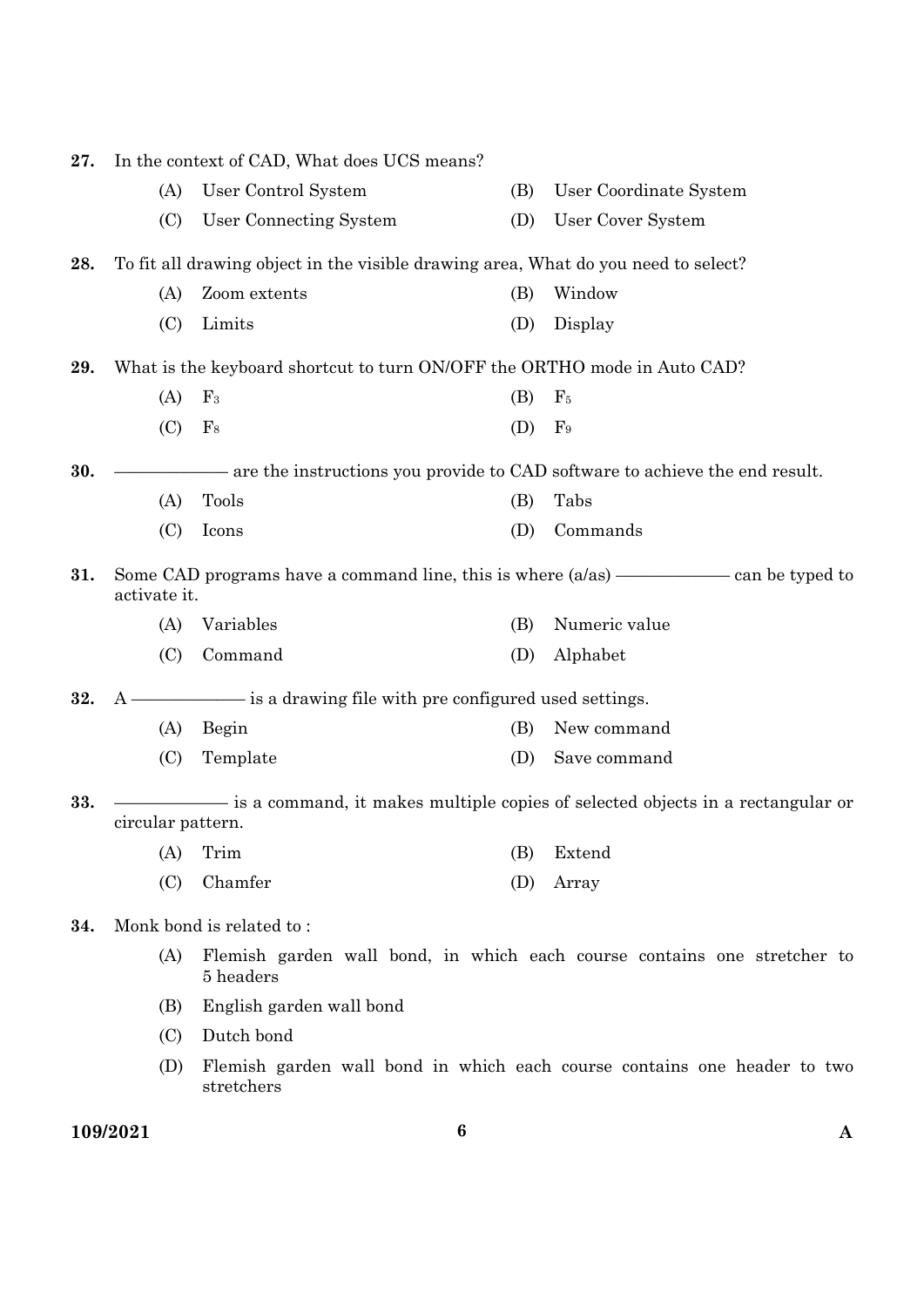| 27. |                   | In the context of CAD, What does UCS means?                                        |     |                                                                                 |
|-----|-------------------|------------------------------------------------------------------------------------|-----|---------------------------------------------------------------------------------|
|     | (A)               | User Control System                                                                | (B) | User Coordinate System                                                          |
|     | (C)               | User Connecting System                                                             | (D) | User Cover System                                                               |
| 28. |                   | To fit all drawing object in the visible drawing area, What do you need to select? |     |                                                                                 |
|     | (A)               | Zoom extents                                                                       | (B) | Window                                                                          |
|     | (C)               | Limits                                                                             | (D) | Display                                                                         |
| 29. |                   | What is the keyboard shortcut to turn ON/OFF the ORTHO mode in Auto CAD?           |     |                                                                                 |
|     | (A)               | $\mathrm{F}_3$                                                                     | (B) | F <sub>5</sub>                                                                  |
|     | (C)               | $\mathrm{F}_8$                                                                     | (D) | F <sub>9</sub>                                                                  |
| 30. |                   |                                                                                    |     | - are the instructions you provide to CAD software to achieve the end result.   |
|     | (A)               | Tools                                                                              | (B) | Tabs                                                                            |
|     | (C)               | Icons                                                                              | (D) | Commands                                                                        |
| 31. | activate it.      |                                                                                    |     | Some CAD programs have a command line, this is where $(a/as)$ — can be typed to |
|     | (A)               | Variables                                                                          | (B) | Numeric value                                                                   |
|     | (C)               | Command                                                                            | (D) | Alphabet                                                                        |
| 32. | A -               | is a drawing file with pre configured used settings.                               |     |                                                                                 |
|     | (A)               | Begin                                                                              | (B) | New command                                                                     |
|     | (C)               | Template                                                                           | (D) | Save command                                                                    |
| 33. |                   |                                                                                    |     | is a command, it makes multiple copies of selected objects in a rectangular or  |
|     | circular pattern. |                                                                                    |     |                                                                                 |
|     |                   | $(A)$ Trim                                                                         |     | (B) Extend                                                                      |
|     | (C)               | Chamfer                                                                            | (D) | Array                                                                           |
| 34. |                   | Monk bond is related to:                                                           |     |                                                                                 |
|     | (A)               | 5 headers                                                                          |     | Flemish garden wall bond, in which each course contains one stretcher to        |
|     | (B)               | English garden wall bond                                                           |     |                                                                                 |
|     | (C)               | Dutch bond                                                                         |     |                                                                                 |
|     | (D)               | stretchers                                                                         |     | Flemish garden wall bond in which each course contains one header to two        |
|     |                   |                                                                                    |     |                                                                                 |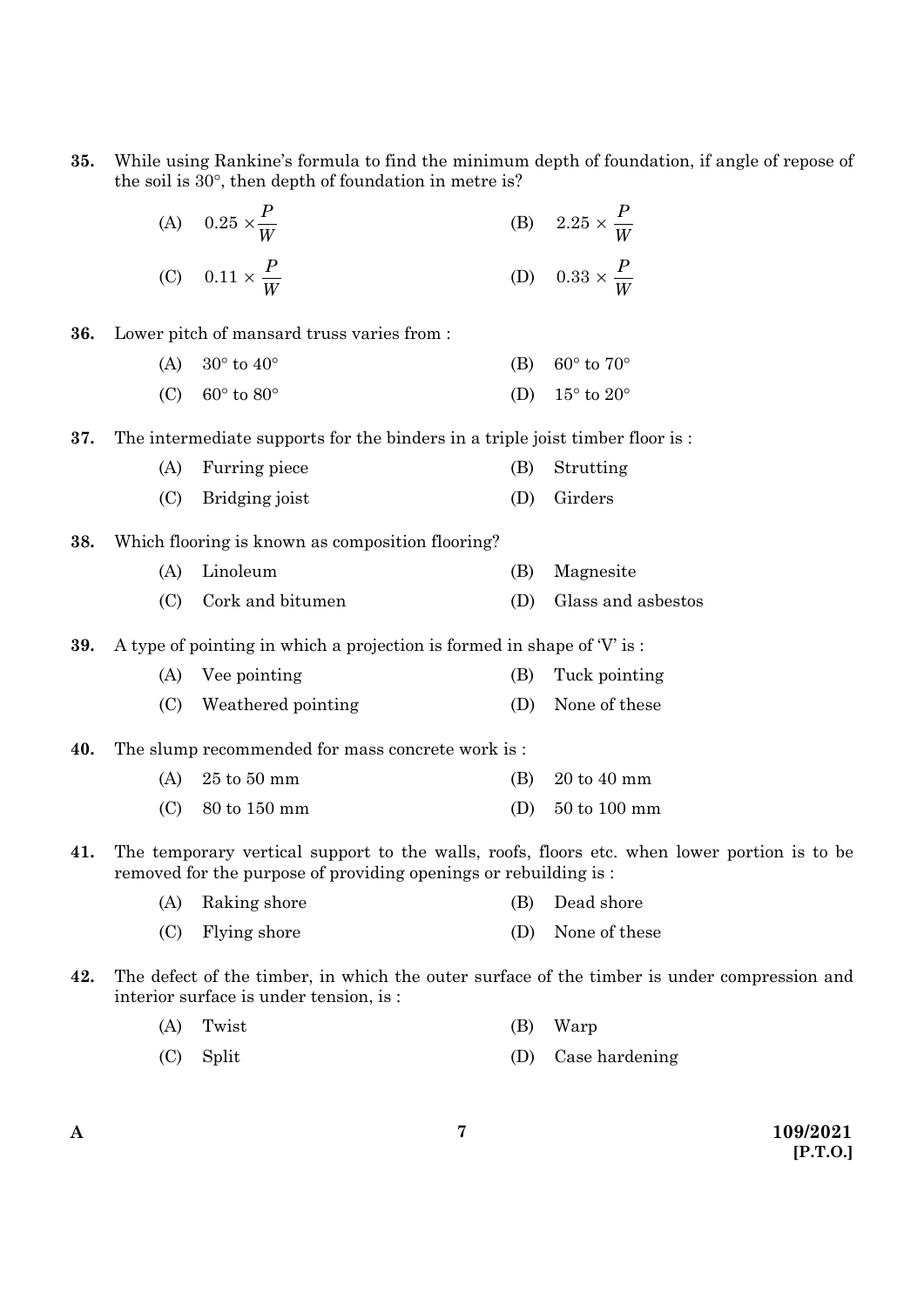| 35. |     | the soil is 30°, then depth of foundation in metre is?                        |     | While using Rankine's formula to find the minimum depth of foundation, if angle of repose of |
|-----|-----|-------------------------------------------------------------------------------|-----|----------------------------------------------------------------------------------------------|
|     |     |                                                                               |     |                                                                                              |
|     |     | (A) $0.25 \times \frac{P}{W}$<br>(C) $0.11 \times \frac{P}{W}$                |     | (B) $2.25 \times \frac{P}{W}$<br>(D) $0.33 \times \frac{P}{W}$                               |
| 36. |     | Lower pitch of mansard truss varies from :                                    |     |                                                                                              |
|     | (A) | $30^{\circ}$ to $40^{\circ}$                                                  | (B) | $60^{\circ}$ to $70^{\circ}$                                                                 |
|     | (C) | $60^\circ$ to $80^\circ$                                                      | (D) | $15^{\circ}$ to $20^{\circ}$                                                                 |
| 37. |     | The intermediate supports for the binders in a triple joist timber floor is : |     |                                                                                              |
|     | (A) | Furring piece                                                                 | (B) | Strutting                                                                                    |
|     | (C) | Bridging joist                                                                | (D) | Girders                                                                                      |
| 38. |     | Which flooring is known as composition flooring?                              |     |                                                                                              |
|     | (A) | Linoleum                                                                      | (B) | Magnesite                                                                                    |
|     | (C) | Cork and bitumen                                                              | (D) | Glass and asbestos                                                                           |
| 39. |     | A type of pointing in which a projection is formed in shape of $V$ is:        |     |                                                                                              |
|     | (A) | Vee pointing                                                                  | (B) | Tuck pointing                                                                                |
|     | (C) | Weathered pointing                                                            | (D) | None of these                                                                                |
| 40. |     | The slump recommended for mass concrete work is :                             |     |                                                                                              |
|     | (A) | $25$ to $50$ mm                                                               | (B) | 20 to 40 mm                                                                                  |
|     | (C) | 80 to 150 mm                                                                  | (D) | 50 to 100 mm                                                                                 |
| 41. |     | removed for the purpose of providing openings or rebuilding is :              |     | The temporary vertical support to the walls, roofs, floors etc. when lower portion is to be  |
|     | (A) | Raking shore                                                                  | (B) | Dead shore                                                                                   |
|     | (C) | Flying shore                                                                  | (D) | None of these                                                                                |
| 42. |     | interior surface is under tension, is :                                       |     | The defect of the timber, in which the outer surface of the timber is under compression and  |

- (A) Twist (B) Warp
- (C) Split (D) Case hardening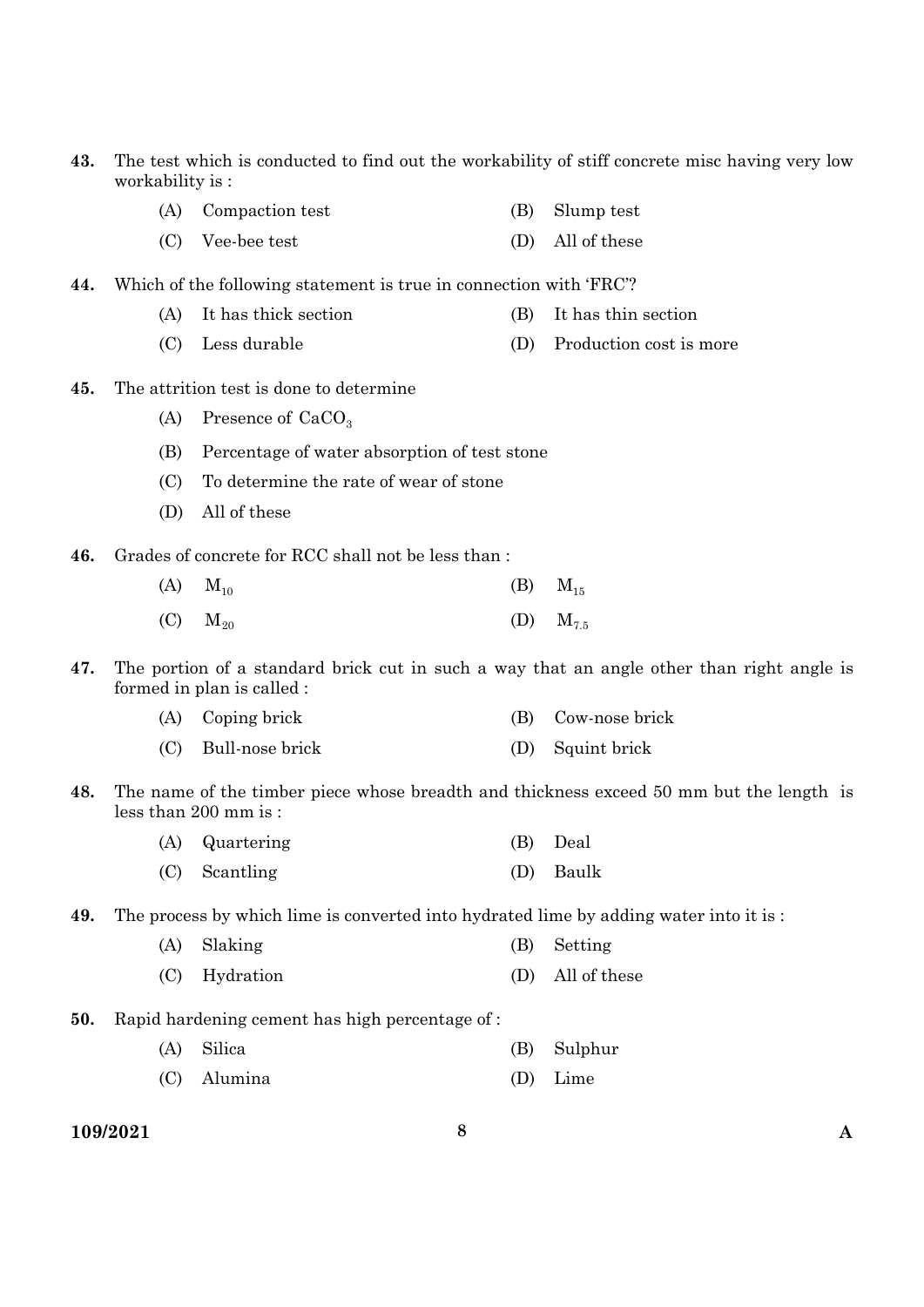- **43.** The test which is conducted to find out the workability of stiff concrete misc having very low workability is :
	- (A) Compaction test (B) Slump test
	- (C) Vee-bee test (D) All of these
- **44.** Which of the following statement is true in connection with 'FRC'?
	- (A) It has thick section (B) It has thin section
	- (C) Less durable (D) Production cost is more
- **45.** The attrition test is done to determine
	- (A) Presence of  $CaCO<sub>3</sub>$
	- (B) Percentage of water absorption of test stone
	- (C) To determine the rate of wear of stone
	- (D) All of these
- **46.** Grades of concrete for RCC shall not be less than :
	- (A)  $M_{10}$  (B)  $M_{15}$ (C)  $M_{20}$  (D)  $M_{7.5}$
- **47.** The portion of a standard brick cut in such a way that an angle other than right angle is formed in plan is called :
	- (A) Coping brick (B) Cow-nose brick (C) Bull-nose brick (D) Squint brick
- **48.** The name of the timber piece whose breadth and thickness exceed 50 mm but the length is less than 200 mm is :

| (A) Quartering  | (B) Deal  |
|-----------------|-----------|
| $(C)$ Scantling | (D) Baulk |

**49.** The process by which lime is converted into hydrated lime by adding water into it is :

| (A) Slaking   | (B) Setting      |
|---------------|------------------|
| (C) Hydration | (D) All of these |

- **50.** Rapid hardening cement has high percentage of :
	- (A) Silica (B) Sulphur
	- (C) Alumina (D) Lime
- **109/2021 8 A**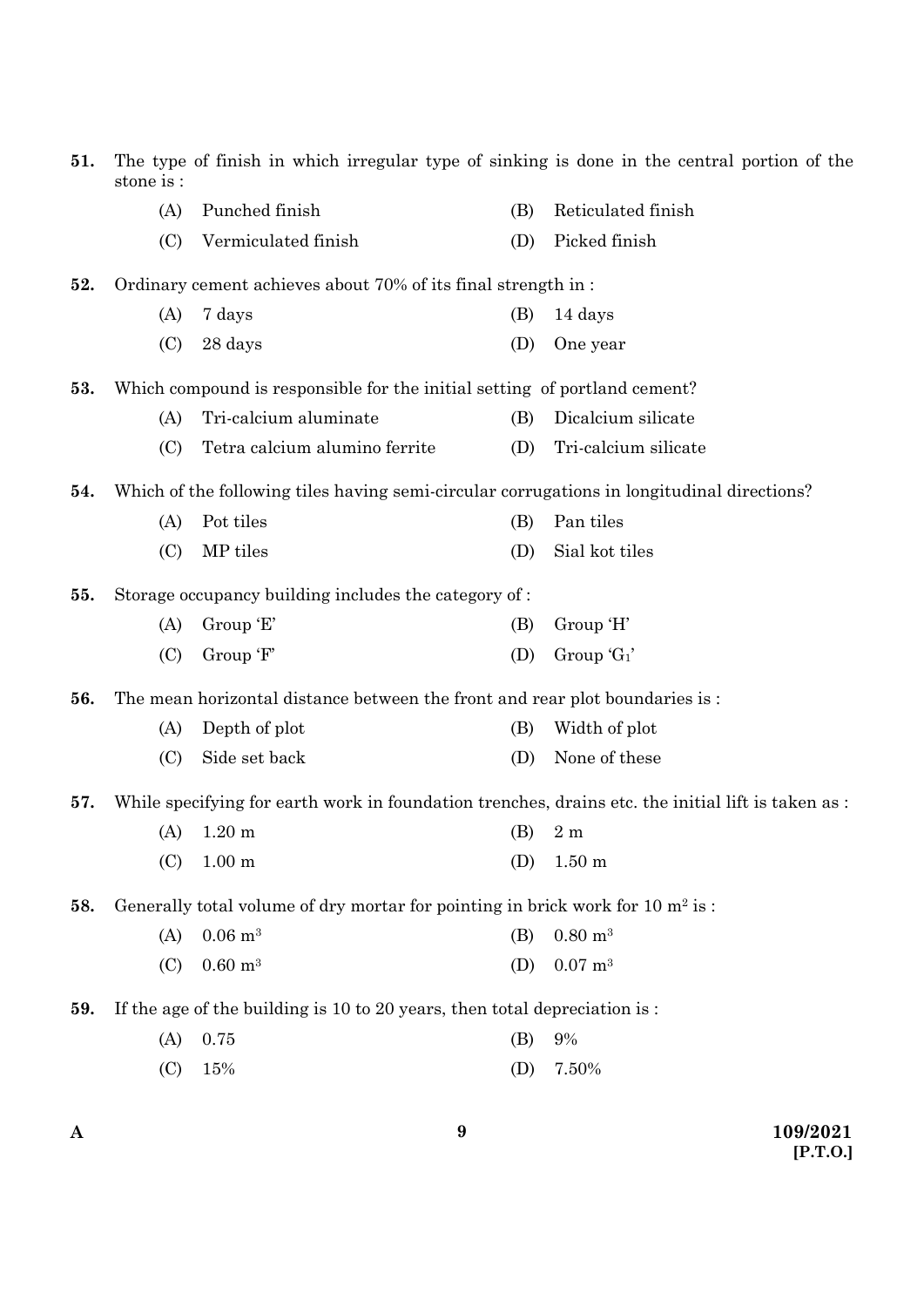| 51. | The type of finish in which irregular type of sinking is done in the central portion of the<br>stone is : |                                                                                            |     |                                                                                                    |
|-----|-----------------------------------------------------------------------------------------------------------|--------------------------------------------------------------------------------------------|-----|----------------------------------------------------------------------------------------------------|
|     | (A)                                                                                                       | Punched finish                                                                             | (B) | Reticulated finish                                                                                 |
|     | (C)                                                                                                       | Vermiculated finish                                                                        | (D) | Picked finish                                                                                      |
| 52. |                                                                                                           | Ordinary cement achieves about 70% of its final strength in:                               |     |                                                                                                    |
|     | (A)                                                                                                       | 7 days                                                                                     | (B) | 14 days                                                                                            |
|     | (C)                                                                                                       | 28 days                                                                                    | (D) | One year                                                                                           |
| 53. |                                                                                                           | Which compound is responsible for the initial setting of portland cement?                  |     |                                                                                                    |
|     | (A)                                                                                                       | Tri-calcium aluminate                                                                      | (B) | Dicalcium silicate                                                                                 |
|     | (C)                                                                                                       | Tetra calcium alumino ferrite                                                              | (D) | Tri-calcium silicate                                                                               |
| 54. |                                                                                                           | Which of the following tiles having semi-circular corrugations in longitudinal directions? |     |                                                                                                    |
|     | (A)                                                                                                       | Pot tiles                                                                                  | (B) | Pan tiles                                                                                          |
|     | (C)                                                                                                       | MP tiles                                                                                   | (D) | Sial kot tiles                                                                                     |
| 55. |                                                                                                           | Storage occupancy building includes the category of :                                      |     |                                                                                                    |
|     | (A)                                                                                                       | Group 'E'                                                                                  | (B) | Group 'H'                                                                                          |
|     | (C)                                                                                                       | Group 'F'                                                                                  | (D) | Group $G_1$                                                                                        |
| 56. |                                                                                                           | The mean horizontal distance between the front and rear plot boundaries is :               |     |                                                                                                    |
|     | (A)                                                                                                       | Depth of plot                                                                              | (B) | Width of plot                                                                                      |
|     | (C)                                                                                                       | Side set back                                                                              | (D) | None of these                                                                                      |
| 57. |                                                                                                           |                                                                                            |     | While specifying for earth work in foundation trenches, drains etc. the initial lift is taken as : |
|     | (A)                                                                                                       | $1.20 \text{ m}$                                                                           | (B) | 2m                                                                                                 |
|     | (C)                                                                                                       | 1.00 <sub>m</sub>                                                                          | (D) | $1.50 \text{ m}$                                                                                   |
| 58. |                                                                                                           | Generally total volume of dry mortar for pointing in brick work for 10 m <sup>2</sup> is : |     |                                                                                                    |
|     | (A)                                                                                                       | $0.06 \; \mathrm{m}^3$                                                                     | (B) | $0.80 \; \mathrm{m}^3$                                                                             |
|     | (C)                                                                                                       | $0.60 \text{ m}^3$                                                                         | (D) | $0.07$ m <sup>3</sup>                                                                              |
| 59. |                                                                                                           | If the age of the building is 10 to 20 years, then total depreciation is :                 |     |                                                                                                    |
|     | (A)                                                                                                       | 0.75                                                                                       | (B) | 9%                                                                                                 |
|     | (C)                                                                                                       | 15%                                                                                        | (D) | 7.50%                                                                                              |
|     |                                                                                                           |                                                                                            |     |                                                                                                    |

**9**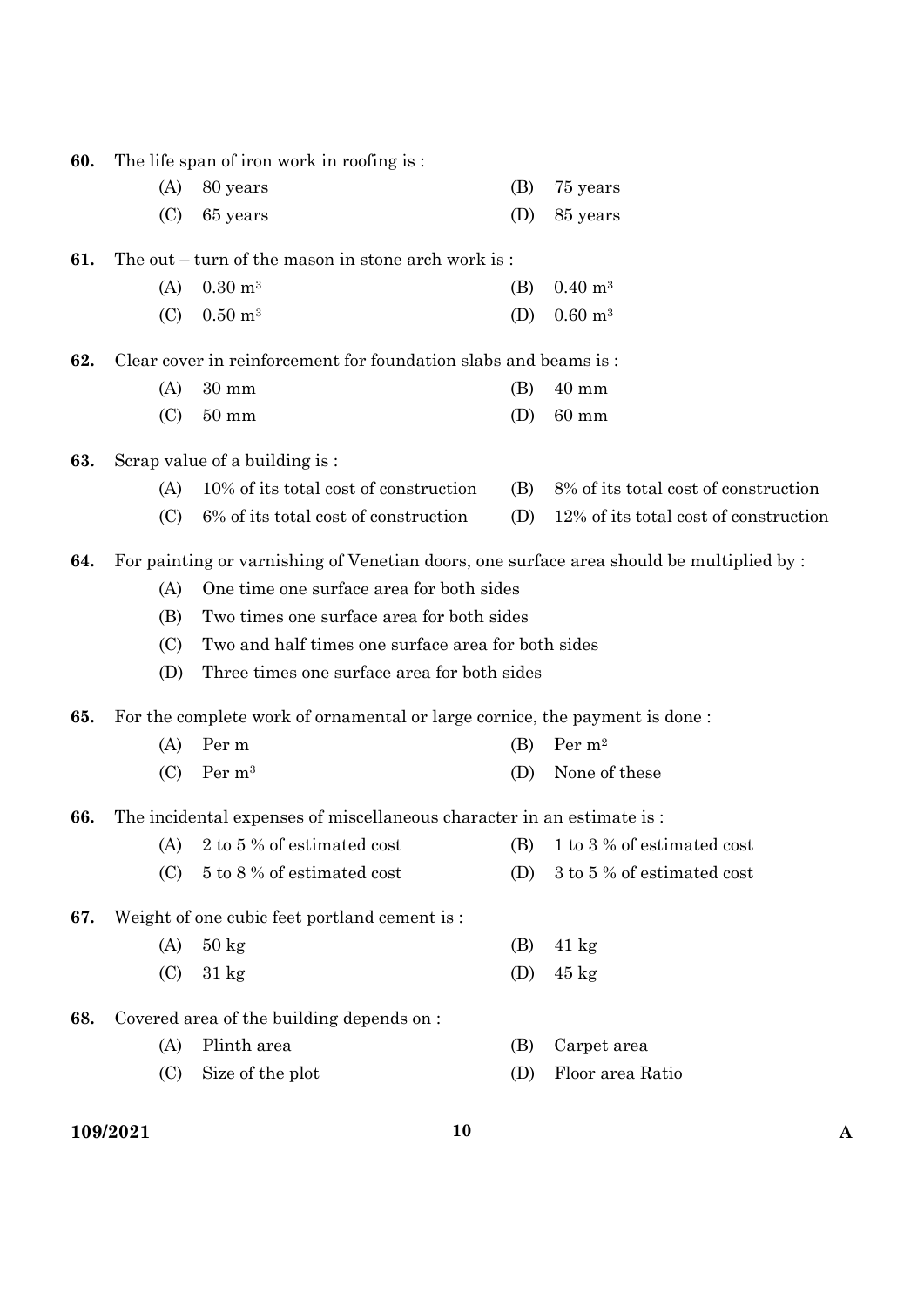| 60. |          | The life span of iron work in roofing is:                                               |     |                                       |             |
|-----|----------|-----------------------------------------------------------------------------------------|-----|---------------------------------------|-------------|
|     | (A)      | 80 years                                                                                | (B) | 75 years                              |             |
|     | (C)      | 65 years                                                                                | (D) | 85 years                              |             |
| 61. |          | The out $-$ turn of the mason in stone arch work is:                                    |     |                                       |             |
|     | (A)      | $0.30 \; \mathrm{m}^3$                                                                  | (B) | $0.40 \; \mathrm{m}^3$                |             |
|     | (C)      | $0.50 \text{ m}^3$                                                                      | (D) | $0.60 \; \mathrm{m}^3$                |             |
| 62. |          | Clear cover in reinforcement for foundation slabs and beams is:                         |     |                                       |             |
|     | (A)      | $30 \text{ mm}$                                                                         | (B) | $40 \text{ mm}$                       |             |
|     | (C)      | $50 \text{ mm}$                                                                         | (D) | $60 \text{ mm}$                       |             |
| 63. |          | Scrap value of a building is:                                                           |     |                                       |             |
|     | (A)      | 10% of its total cost of construction                                                   | (B) | 8% of its total cost of construction  |             |
|     | (C)      | 6% of its total cost of construction                                                    | (D) | 12% of its total cost of construction |             |
| 64. |          | For painting or varnishing of Venetian doors, one surface area should be multiplied by: |     |                                       |             |
|     | (A)      | One time one surface area for both sides                                                |     |                                       |             |
|     | (B)      | Two times one surface area for both sides                                               |     |                                       |             |
|     | (C)      | Two and half times one surface area for both sides                                      |     |                                       |             |
|     | (D)      | Three times one surface area for both sides                                             |     |                                       |             |
| 65. |          | For the complete work of ornamental or large cornice, the payment is done:              |     |                                       |             |
|     | (A)      | Per m                                                                                   | (B) | Per m <sup>2</sup>                    |             |
|     | (C)      | Per m <sup>3</sup>                                                                      | (D) | None of these                         |             |
| 66. |          | The incidental expenses of miscellaneous character in an estimate is:                   |     |                                       |             |
|     |          | (A) $2 \text{ to } 5\%$ of estimated cost (B) $1 \text{ to } 3\%$ of estimated cost     |     |                                       |             |
|     | (C)      | 5 to 8 % of estimated cost                                                              | (D) | 3 to 5 % of estimated cost            |             |
| 67. |          | Weight of one cubic feet portland cement is:                                            |     |                                       |             |
|     | (A)      | $50 \text{ kg}$                                                                         | (B) | $41 \text{ kg}$                       |             |
|     | (C)      | $31 \text{ kg}$                                                                         | (D) | $45 \text{ kg}$                       |             |
| 68. |          | Covered area of the building depends on:                                                |     |                                       |             |
|     | (A)      | Plinth area                                                                             | (B) | Carpet area                           |             |
|     | (C)      | Size of the plot                                                                        | (D) | Floor area Ratio                      |             |
|     | 109/2021 | 10                                                                                      |     |                                       | $\mathbf A$ |
|     |          |                                                                                         |     |                                       |             |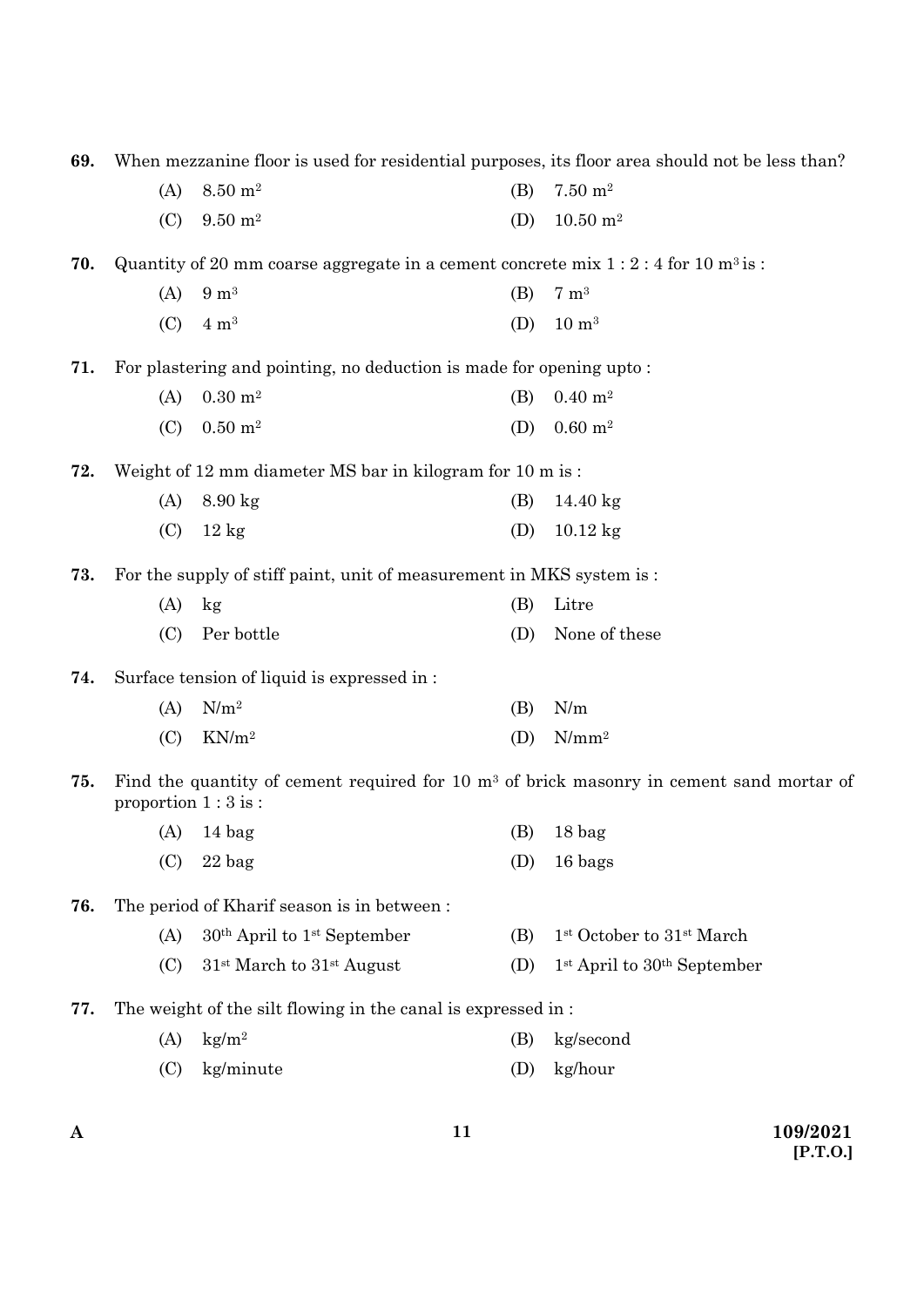| 69. |                      |                                                                                               |     | When mezzanine floor is used for residential purposes, its floor area should not be less than? |
|-----|----------------------|-----------------------------------------------------------------------------------------------|-----|------------------------------------------------------------------------------------------------|
|     | (A)                  | $8.50\ \mathrm{m}^2$                                                                          | (B) | $7.50 \; \mathrm{m}^2$                                                                         |
|     | (C)                  | $9.50 \; \mathrm{m}^2$                                                                        | (D) | $10.50 \; \mathrm{m}^2$                                                                        |
| 70. |                      | Quantity of 20 mm coarse aggregate in a cement concrete mix $1:2:4$ for 10 m <sup>3</sup> is: |     |                                                                                                |
|     | (A)                  | $9 \text{ m}^3$                                                                               | (B) | $7 \text{ m}^3$                                                                                |
|     | (C)                  | $4 \text{ m}^3$                                                                               | (D) | $10 \; \mathrm{m}^3$                                                                           |
| 71. |                      | For plastering and pointing, no deduction is made for opening upto:                           |     |                                                                                                |
|     | (A)                  | $0.30 \; \mathrm{m}^2$                                                                        | (B) | $0.40 \; \mathrm{m}^2$                                                                         |
|     | (C)                  | $0.50 \; \mathrm{m}^2$                                                                        | (D) | $0.60 \; \mathrm{m}^2$                                                                         |
| 72. |                      | Weight of 12 mm diameter MS bar in kilogram for 10 m is:                                      |     |                                                                                                |
|     | (A)                  | $8.90$ kg                                                                                     | (B) | $14.40 \text{ kg}$                                                                             |
|     | (C)                  | $12 \text{ kg}$                                                                               | (D) | $10.12$ kg                                                                                     |
| 73. |                      | For the supply of stiff paint, unit of measurement in MKS system is :                         |     |                                                                                                |
|     | (A)                  | $\log$                                                                                        | (B) | Litre                                                                                          |
|     | (C)                  | Per bottle                                                                                    | (D) | None of these                                                                                  |
| 74. |                      | Surface tension of liquid is expressed in :                                                   |     |                                                                                                |
|     | (A)                  | $N/m^2$                                                                                       | (B) | N/m                                                                                            |
|     | (C)                  | $KN/m^2$                                                                                      | (D) | $N/mm^2$                                                                                       |
| 75. | proportion $1:3$ is: |                                                                                               |     | Find the quantity of cement required for 10 $m3$ of brick masonry in cement sand mortar of     |
|     | (A)                  | 14 bag                                                                                        | (B) | 18 <sub>bag</sub>                                                                              |
|     | (C)                  | $22$ bag                                                                                      | (D) | 16 bags                                                                                        |
| 76. |                      | The period of Kharif season is in between:                                                    |     |                                                                                                |
|     | (A)                  | $30th$ April to 1 <sup>st</sup> September                                                     | (B) | 1 <sup>st</sup> October to 31 <sup>st</sup> March                                              |
|     | (C)                  | $31st$ March to $31st$ August                                                                 | (D) | 1 <sup>st</sup> April to 30 <sup>th</sup> September                                            |
| 77. |                      | The weight of the silt flowing in the canal is expressed in:                                  |     |                                                                                                |
|     | (A)                  | $\text{kg/m}^2$                                                                               | (B) | kg/second                                                                                      |
|     | (C)                  | kg/minute                                                                                     | (D) | kg/hour                                                                                        |
| A   |                      |                                                                                               | 11  | 109/2021                                                                                       |
|     |                      |                                                                                               |     |                                                                                                |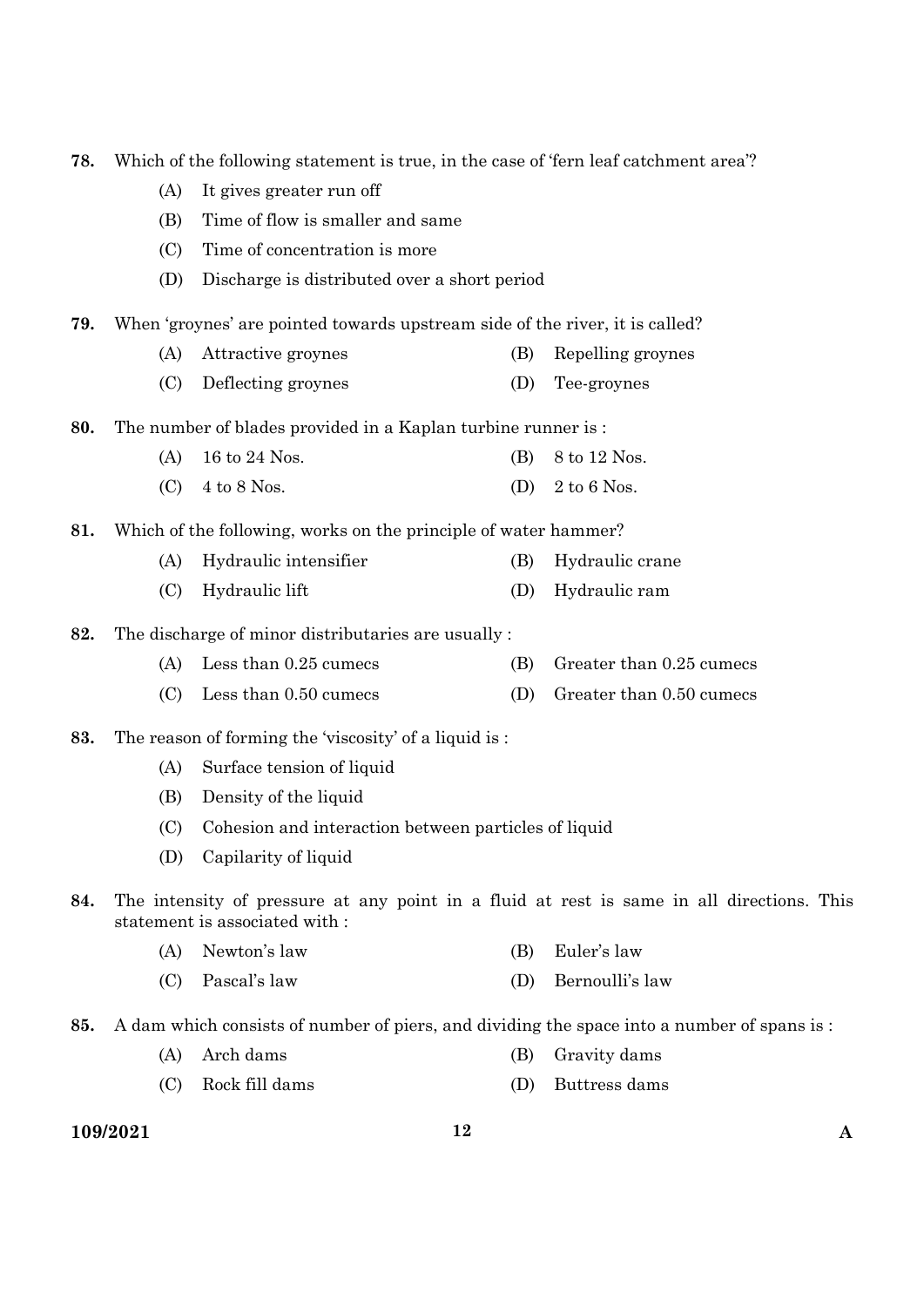| 78. |          | Which of the following statement is true, in the case of 'fern leaf catchment area'? |     |                                                                                            |
|-----|----------|--------------------------------------------------------------------------------------|-----|--------------------------------------------------------------------------------------------|
|     | (A)      | It gives greater run off                                                             |     |                                                                                            |
|     | (B)      | Time of flow is smaller and same                                                     |     |                                                                                            |
|     | (C)      | Time of concentration is more                                                        |     |                                                                                            |
|     | (D)      | Discharge is distributed over a short period                                         |     |                                                                                            |
| 79. |          | When 'groynes' are pointed towards upstream side of the river, it is called?         |     |                                                                                            |
|     | (A)      | Attractive groynes                                                                   | (B) | Repelling groynes                                                                          |
|     | (C)      | Deflecting groynes                                                                   | (D) | Tee-groynes                                                                                |
| 80. |          | The number of blades provided in a Kaplan turbine runner is :                        |     |                                                                                            |
|     | (A)      | 16 to 24 Nos.                                                                        | (B) | 8 to 12 Nos.                                                                               |
|     | (C)      | $4$ to $8$ Nos.                                                                      | (D) | 2 to 6 Nos.                                                                                |
| 81. |          | Which of the following, works on the principle of water hammer?                      |     |                                                                                            |
|     | (A)      | Hydraulic intensifier                                                                | (B) | Hydraulic crane                                                                            |
|     | (C)      | Hydraulic lift                                                                       | (D) | Hydraulic ram                                                                              |
| 82. |          | The discharge of minor distributaries are usually:                                   |     |                                                                                            |
|     | (A)      | Less than 0.25 cumecs                                                                | (B) | Greater than 0.25 cumecs                                                                   |
|     | (C)      | Less than 0.50 cumecs                                                                | (D) | Greater than 0.50 cumecs                                                                   |
| 83. |          | The reason of forming the 'viscosity' of a liquid is:                                |     |                                                                                            |
|     | (A)      | Surface tension of liquid                                                            |     |                                                                                            |
|     | (B)      | Density of the liquid                                                                |     |                                                                                            |
|     | (C)      | Cohesion and interaction between particles of liquid                                 |     |                                                                                            |
|     | (D)      | Capilarity of liquid                                                                 |     |                                                                                            |
| 84. |          | statement is associated with :                                                       |     | The intensity of pressure at any point in a fluid at rest is same in all directions. This  |
|     | (A)      | Newton's law                                                                         | (B) | Euler's law                                                                                |
|     | (C)      | Pascal's law                                                                         | (D) | Bernoulli's law                                                                            |
| 85. |          |                                                                                      |     | A dam which consists of number of piers, and dividing the space into a number of spans is: |
|     | (A)      | Arch dams                                                                            | (B) | Gravity dams                                                                               |
|     | (C)      | Rock fill dams                                                                       | (D) | Buttress dams                                                                              |
|     | 109/2021 |                                                                                      | 12  | A                                                                                          |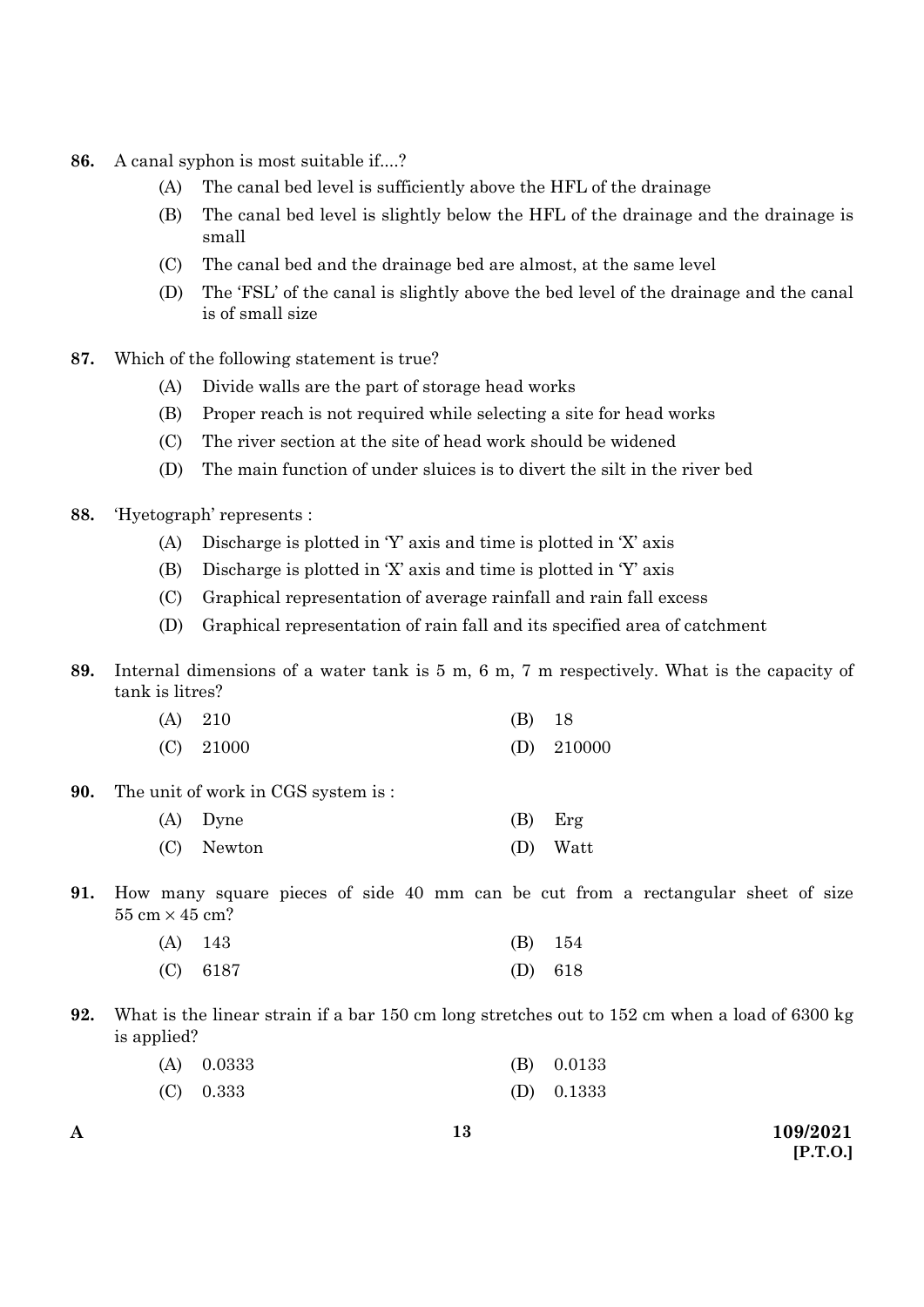- **86.** A canal syphon is most suitable if....?
	- (A) The canal bed level is sufficiently above the HFL of the drainage
	- (B) The canal bed level is slightly below the HFL of the drainage and the drainage is small
	- (C) The canal bed and the drainage bed are almost, at the same level
	- (D) The 'FSL' of the canal is slightly above the bed level of the drainage and the canal is of small size
- **87.** Which of the following statement is true?
	- (A) Divide walls are the part of storage head works
	- (B) Proper reach is not required while selecting a site for head works
	- (C) The river section at the site of head work should be widened
	- (D) The main function of under sluices is to divert the silt in the river bed
- **88.** 'Hyetograph' represents :
	- (A) Discharge is plotted in 'Y' axis and time is plotted in 'X' axis
	- (B) Discharge is plotted in 'X' axis and time is plotted in 'Y' axis
	- (C) Graphical representation of average rainfall and rain fall excess
	- (D) Graphical representation of rain fall and its specified area of catchment
- **89.** Internal dimensions of a water tank is 5 m, 6 m, 7 m respectively. What is the capacity of tank is litres?

| $(A)$ 210   | $(B)$ 18 |              |
|-------------|----------|--------------|
| $(C)$ 21000 |          | (D) $210000$ |

**90.** The unit of work in CGS system is :

| (A) Dyne   | $(B)$ Erg |
|------------|-----------|
| (C) Newton | (D) Watt  |

**91.** How many square pieces of side 40 mm can be cut from a rectangular sheet of size  $55 \text{ cm} \times 45 \text{ cm}$ ?

| $(A)$ 143  |           | $(B)$ 154 |
|------------|-----------|-----------|
| $(C)$ 6187 | $(D)$ 618 |           |

**92.** What is the linear strain if a bar 150 cm long stretches out to 152 cm when a load of 6300 kg is applied?

| $(A)$ 0.0333 | $(B)$ 0.0133 |
|--------------|--------------|
| $(C)$ 0.333  | $(D)$ 0.1333 |

**A 109/2021 [P.T.O.]**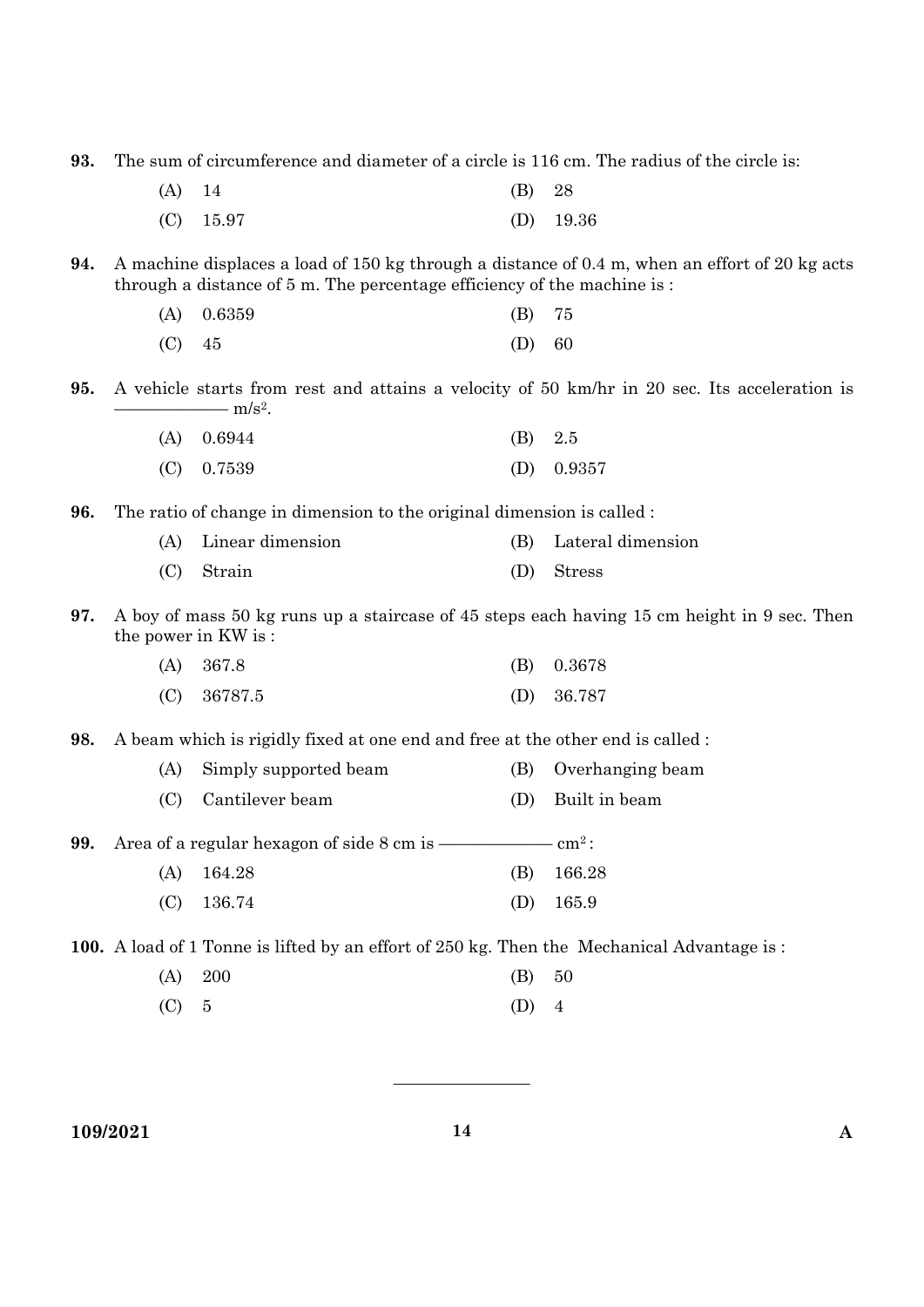**93.** The sum of circumference and diameter of a circle is 116 cm. The radius of the circle is:

| $(A)$ 14 |             | $(B)$ 28 |             |
|----------|-------------|----------|-------------|
|          | $(C)$ 15.97 |          | $(D)$ 19.36 |

**94.** A machine displaces a load of 150 kg through a distance of 0.4 m, when an effort of 20 kg acts through a distance of 5 m. The percentage efficiency of the machine is :

|        | $(A)$ 0.6359 | $(B)$ 75 |  |
|--------|--------------|----------|--|
| (C) 45 |              | (D) 60   |  |

**95.** A vehicle starts from rest and attains a velocity of 50 km/hr in 20 sec. Its acceleration is  $\frac{m}{s^2}$ .

| $(A)$ 0.6944 | $(B)$ 2.5 |              |
|--------------|-----------|--------------|
| $(C)$ 0.7539 |           | (D) $0.9357$ |

**96.** The ratio of change in dimension to the original dimension is called :

| (A) Linear dimension | (B) Lateral dimension |
|----------------------|-----------------------|
| $(C)$ Strain         | (D) Stress            |

**97.** A boy of mass 50 kg runs up a staircase of 45 steps each having 15 cm height in 9 sec. Then the power in KW is :

| $(A)$ 367.8   | $(B)$ 0.3678 |
|---------------|--------------|
| $(C)$ 36787.5 | $(D)$ 36.787 |

**98.** A beam which is rigidly fixed at one end and free at the other end is called :

| (A) Simply supported beam | (B) Overhanging beam |
|---------------------------|----------------------|
| (C) Cantilever beam       | (D) Built in beam    |

**99.** Area of a regular hexagon of side 8 cm is –––––––––––– cm2 :

- (A) 164.28 (B) 166.28
	- (C) 136.74 (D) 165.9

**100.** A load of 1 Tonne is lifted by an effort of 250 kg. Then the Mechanical Advantage is :

- (A) 200 (B) 50
- (C)  $5$  (D)  $4$

**109/2021 14 A** 

————————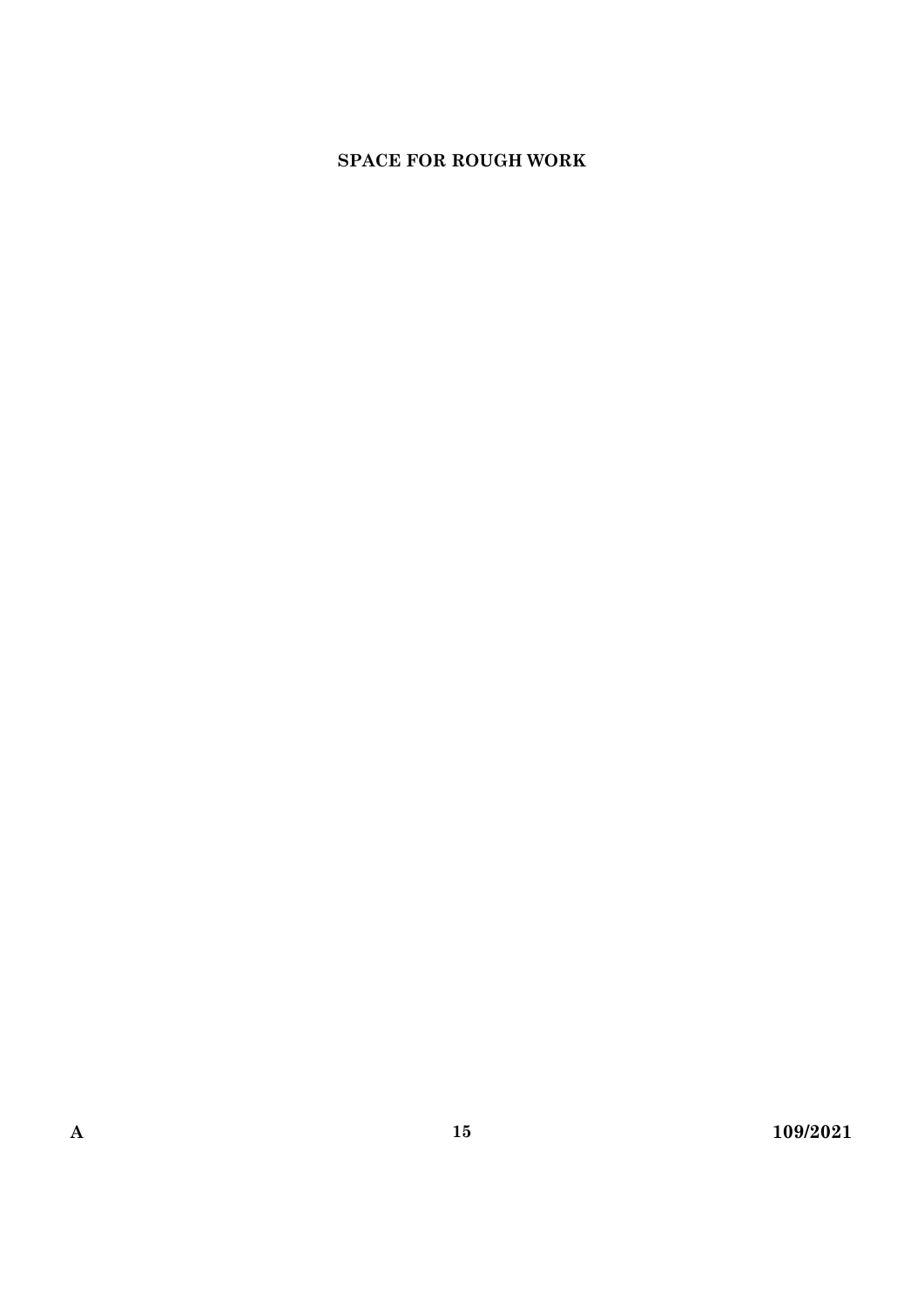## **SPACE FOR ROUGH WORK**